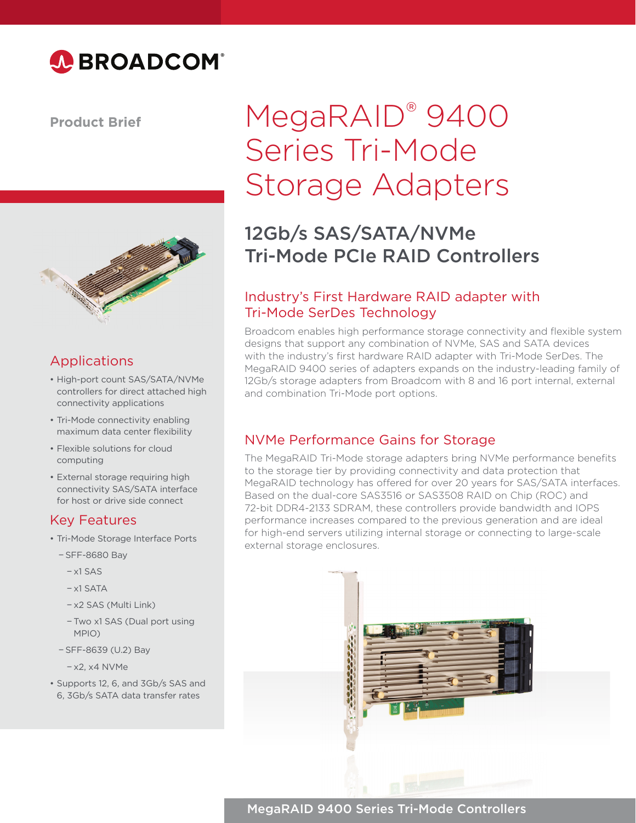

#### **Product Brief**



### Applications

- High-port count SAS/SATA/NVMe controllers for direct attached high connectivity applications
- Tri-Mode connectivity enabling maximum data center flexibility
- Flexible solutions for cloud computing
- External storage requiring high connectivity SAS/SATA interface for host or drive side connect

#### Key Features

- Tri-Mode Storage Interface Ports
	- − SFF-8680 Bay
		- − x1 SAS
		- − x1 SATA
		- − x2 SAS (Multi Link)
		- − Two x1 SAS (Dual port using MPIO)
	- − SFF-8639 (U.2) Bay
	- − x2, x4 NVMe
- Supports 12, 6, and 3Gb/s SAS and 6, 3Gb/s SATA data transfer rates

# MegaRAID® 9400 Series Tri-Mode Storage Adapters

## 12Gb/s SAS/SATA/NVMe Tri-Mode PCIe RAID Controllers

#### Industry's First Hardware RAID adapter with Tri-Mode SerDes Technology

Broadcom enables high performance storage connectivity and flexible system designs that support any combination of NVMe, SAS and SATA devices with the industry's first hardware RAID adapter with Tri-Mode SerDes. The MegaRAID 9400 series of adapters expands on the industry-leading family of 12Gb/s storage adapters from Broadcom with 8 and 16 port internal, external and combination Tri-Mode port options.

#### NVMe Performance Gains for Storage

The MegaRAID Tri-Mode storage adapters bring NVMe performance benefits to the storage tier by providing connectivity and data protection that MegaRAID technology has offered for over 20 years for SAS/SATA interfaces. Based on the dual-core SAS3516 or SAS3508 RAID on Chip (ROC) and 72-bit DDR4-2133 SDRAM, these controllers provide bandwidth and IOPS performance increases compared to the previous generation and are ideal for high-end servers utilizing internal storage or connecting to large-scale external storage enclosures.



MegaRAID 9400 Series Tri-Mode Controllers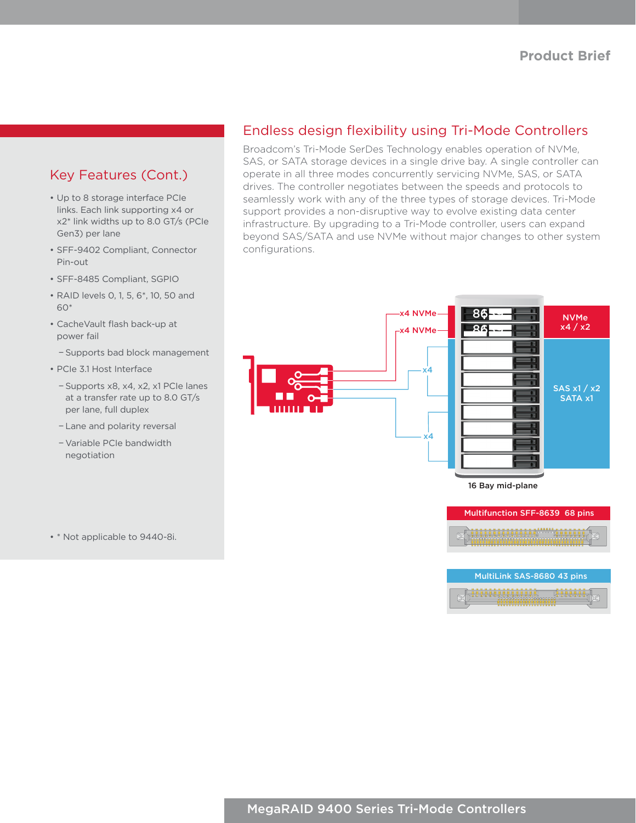#### Key Features (Cont.)

- Up to 8 storage interface PCIe links. Each link supporting x4 or x2\* link widths up to 8.0 GT/s (PCIe Gen3) per lane
- SFF-9402 Compliant, Connector Pin-out
- SFF-8485 Compliant, SGPIO
- RAID levels 0, 1, 5, 6\*, 10, 50 and 60\*
- CacheVault flash back-up at power fail
	- − Supports bad block management
- PCIe 3.1 Host Interface
	- − Supports x8, x4, x2, x1 PCIe lanes at a transfer rate up to 8.0 GT/s per lane, full duplex
	- − Lane and polarity reversal
	- − Variable PCIe bandwidth negotiation

• \* Not applicable to 9440-8i.

#### Endless design flexibility using Tri-Mode Controllers

Broadcom's Tri-Mode SerDes Technology enables operation of NVMe, SAS, or SATA storage devices in a single drive bay. A single controller can operate in all three modes concurrently servicing NVMe, SAS, or SATA drives. The controller negotiates between the speeds and protocols to seamlessly work with any of the three types of storage devices. Tri-Mode support provides a non-disruptive way to evolve existing data center infrastructure. By upgrading to a Tri-Mode controller, users can expand beyond SAS/SATA and use NVMe without major changes to other system configurations.